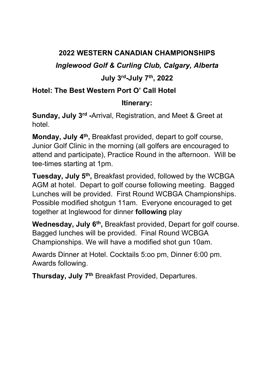# 2022 WESTERN CANADIAN CHAMPIONSHIPS

Inglewood Golf & Curling Club, Calgary, Alberta

# July 3rd-July 7th, 2022

# Hotel: The Best Western Port O' Call Hotel

### Itinerary:

Sunday, July 3rd -Arrival, Registration, and Meet & Greet at hotel.

Monday, July 4<sup>th</sup>, Breakfast provided, depart to golf course, Junior Golf Clinic in the morning (all golfers are encouraged to attend and participate), Practice Round in the afternoon. Will be tee-times starting at 1pm.

Tuesday, July 5<sup>th</sup>, Breakfast provided, followed by the WCBGA AGM at hotel. Depart to golf course following meeting. Bagged Lunches will be provided. First Round WCBGA Championships. Possible modified shotgun 11am. Everyone encouraged to get together at Inglewood for dinner following play

Wednesday, July 6<sup>th</sup>, Breakfast provided, Depart for golf course. Bagged lunches will be provided. Final Round WCBGA Championships. We will have a modified shot gun 10am.

Awards Dinner at Hotel. Cocktails 5:oo pm, Dinner 6:00 pm. Awards following.

Thursday, July 7<sup>th</sup> Breakfast Provided, Departures.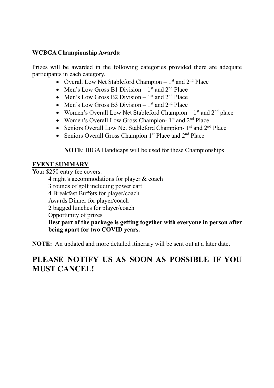#### WCBGA Championship Awards:

Prizes will be awarded in the following categories provided there are adequate participants in each category.

- Overall Low Net Stableford Champion  $1<sup>st</sup>$  and  $2<sup>nd</sup>$  Place
- Men's Low Gross B1 Division  $1<sup>st</sup>$  and  $2<sup>nd</sup>$  Place
- Men's Low Gross B2 Division  $1<sup>st</sup>$  and  $2<sup>nd</sup>$  Place
- Men's Low Gross B3 Division  $1<sup>st</sup>$  and  $2<sup>nd</sup>$  Place
- Women's Overall Low Net Stableford Champion  $1<sup>st</sup>$  and  $2<sup>nd</sup>$  place
- Women's Overall Low Gross Champion-  $1<sup>st</sup>$  and  $2<sup>nd</sup>$  Place
- Seniors Overall Low Net Stableford Champion-  $1<sup>st</sup>$  and  $2<sup>nd</sup>$  Place
- Seniors Overall Gross Champion  $1<sup>st</sup>$  Place and  $2<sup>nd</sup>$  Place

NOTE: IBGA Handicaps will be used for these Championships

#### EVENT SUMMARY

Your \$250 entry fee covers:

4 night's accommodations for player & coach 3 rounds of golf including power cart 4 Breakfast Buffets for player/coach

Awards Dinner for player/coach

2 bagged lunches for player/coach

Opportunity of prizes

Best part of the package is getting together with everyone in person after being apart for two COVID years.

NOTE: An updated and more detailed itinerary will be sent out at a later date.

# PLEASE NOTIFY US AS SOON AS POSSIBLE IF YOU MUST CANCEL!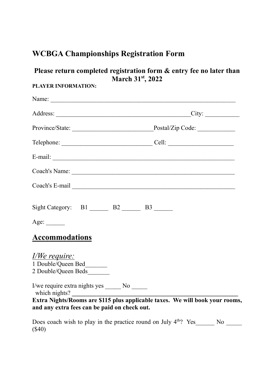# WCBGA Championships Registration Form

# Please return completed registration form & entry fee no later than March 31<sup>st</sup>, 2022

### PLAYER INFORMATION:

| Name:                                                                                                                        |  |  |
|------------------------------------------------------------------------------------------------------------------------------|--|--|
| Address: City:                                                                                                               |  |  |
| Province/State: Province/State: Postal/Zip Code:                                                                             |  |  |
|                                                                                                                              |  |  |
|                                                                                                                              |  |  |
|                                                                                                                              |  |  |
|                                                                                                                              |  |  |
| Sight Category: B1 B2 B3                                                                                                     |  |  |
| Age:                                                                                                                         |  |  |
| <b>Accommodations</b>                                                                                                        |  |  |
| <u>I/We require:</u><br>1 Double/Queen Bed_______<br>2 Double/Queen Beds________                                             |  |  |
| I/we require extra nights yes _______ No ______<br>which nights?                                                             |  |  |
| Extra Nights/Rooms are \$115 plus applicable taxes. We will book your rooms,<br>and any extra fees can be paid on check out. |  |  |
| Does coach wish to play in the practice round on July $4th$ ? Yes                                                            |  |  |

(\$40)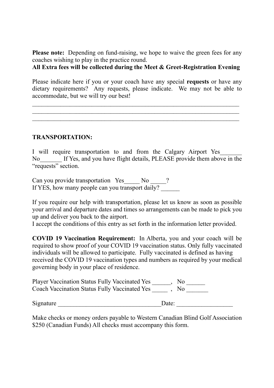Please note: Depending on fund-raising, we hope to waive the green fees for any coaches wishing to play in the practice round.

All Extra fees will be collected during the Meet & Greet-Registration Evening

Please indicate here if you or your coach have any special requests or have any dietary requirements? Any requests, please indicate. We may not be able to accommodate, but we will try our best!

 $\_$  , and the contribution of the contribution of  $\mathcal{L}_\mathcal{A}$  , and the contribution of  $\mathcal{L}_\mathcal{A}$  $\_$  , and the contribution of the contribution of  $\mathcal{L}_\mathcal{A}$  , and the contribution of  $\mathcal{L}_\mathcal{A}$  $\_$  , and the contribution of the contribution of  $\mathcal{L}_\mathcal{A}$  , and the contribution of  $\mathcal{L}_\mathcal{A}$ 

### TRANSPORTATION:

I will require transportation to and from the Calgary Airport Yes No If Yes, and you have flight details, PLEASE provide them above in the "requests" section.

Can you provide transportation Yes No  $\qquad$  ? If YES, how many people can you transport daily?

If you require our help with transportation, please let us know as soon as possible your arrival and departure dates and times so arrangements can be made to pick you up and deliver you back to the airport.

I accept the conditions of this entry as set forth in the information letter provided.

COVID 19 Vaccination Requirement: In Alberta, you and your coach will be required to show proof of your COVID 19 vaccination status. Only fully vaccinated individuals will be allowed to participate. Fully vaccinated is defined as having received the COVID 19 vaccination types and numbers as required by your medical governing body in your place of residence.

Player Vaccination Status Fully Vaccinated Yes \_\_\_\_\_, No \_\_\_\_\_\_ Coach Vaccination Status Fully Vaccinated Yes for the No

Signature Date:

Make checks or money orders payable to Western Canadian Blind Golf Association \$250 (Canadian Funds) All checks must accompany this form.